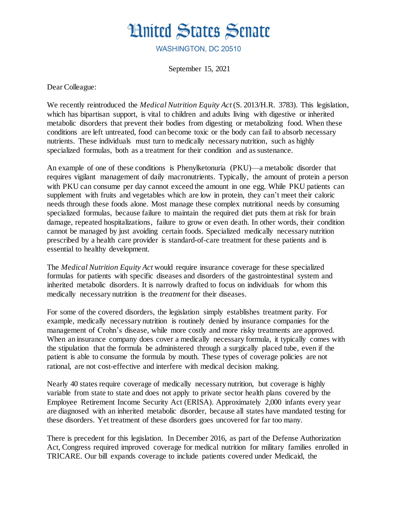

WASHINGTON, DC 20510

September 15, 2021

Dear Colleague:

We recently reintroduced the *Medical Nutrition Equity Act* (S. 2013/H.R. 3783). This legislation, which has bipartisan support, is vital to children and adults living with digestive or inherited metabolic disorders that prevent their bodies from digesting or metabolizing food. When these conditions are left untreated, food can become toxic or the body can fail to absorb necessary nutrients. These individuals must turn to medically necessary nutrition, such as highly specialized formulas, both as a treatment for their condition and as sustenance.

An example of one of these conditions is Phenylketonuria (PKU)—a metabolic disorder that requires vigilant management of daily macronutrients. Typically, the amount of protein a person with PKU can consume per day cannot exceed the amount in one egg. While PKU patients can supplement with fruits and vegetables which are low in protein, they can't meet their caloric needs through these foods alone. Most manage these complex nutritional needs by consuming specialized formulas, because failure to maintain the required diet puts them at risk for brain damage, repeated hospitalizations, failure to grow or even death. In other words, their condition cannot be managed by just avoiding certain foods. Specialized medically necessary nutrition prescribed by a health care provider is standard-of-care treatment for these patients and is essential to healthy development.

The *Medical Nutrition Equity Act* would require insurance coverage for these specialized formulas for patients with specific diseases and disorders of the gastrointestinal system and inherited metabolic disorders. It is narrowly drafted to focus on individuals for whom this medically necessary nutrition is the *treatment* for their diseases.

For some of the covered disorders, the legislation simply establishes treatment parity. For example, medically necessary nutrition is routinely denied by insurance companies for the management of Crohn's disease, while more costly and more risky treatments are approved. When an insurance company does cover a medically necessary formula, it typically comes with the stipulation that the formula be administered through a surgically placed tube, even if the patient is able to consume the formula by mouth. These types of coverage policies are not rational, are not cost-effective and interfere with medical decision making.

Nearly 40 states require coverage of medically necessary nutrition, but coverage is highly variable from state to state and does not apply to private sector health plans covered by the Employee Retirement Income Security Act (ERISA). Approximately 2,000 infants every year are diagnosed with an inherited metabolic disorder, because all states have mandated testing for these disorders. Yet treatment of these disorders goes uncovered for far too many.

There is precedent for this legislation. In December 2016, as part of the Defense Authorization Act, Congress required improved coverage for medical nutrition for military families enrolled in TRICARE. Our bill expands coverage to include patients covered under Medicaid, the